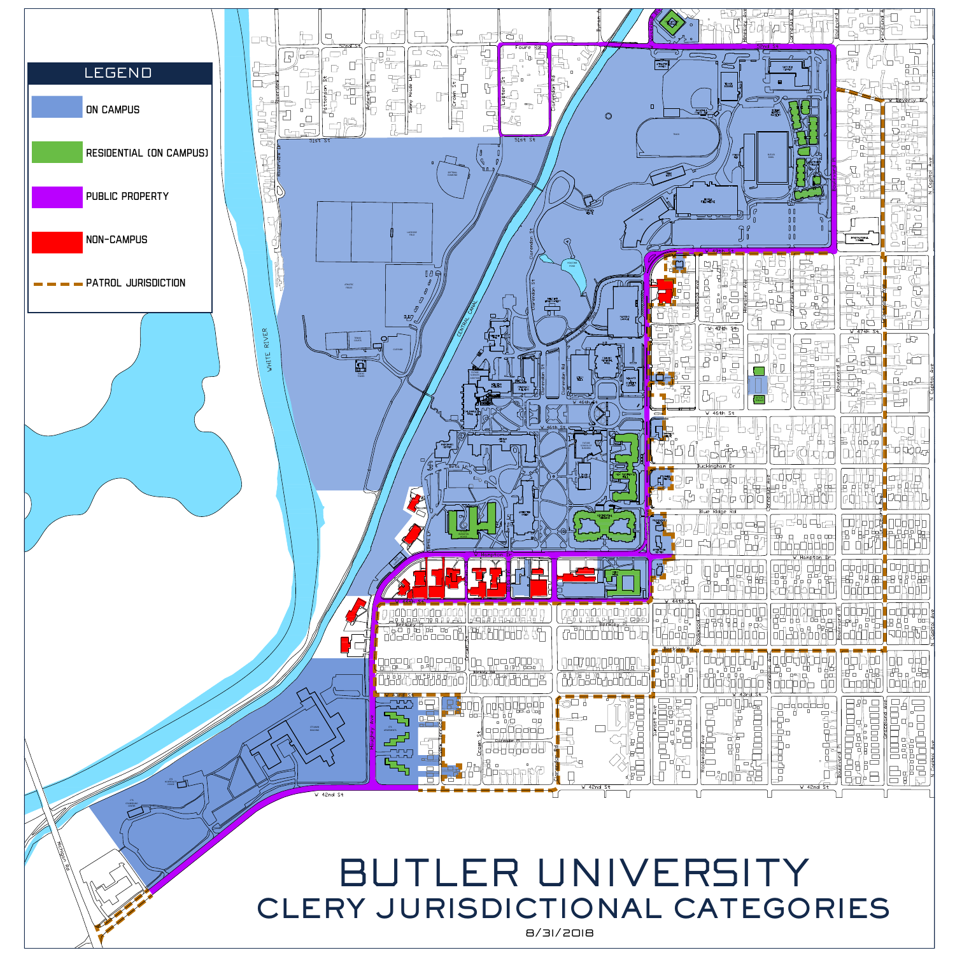

## BUTLER UNIVERSITY CLERY JURISDICTIONAL CATEGORIES

8/31/2018